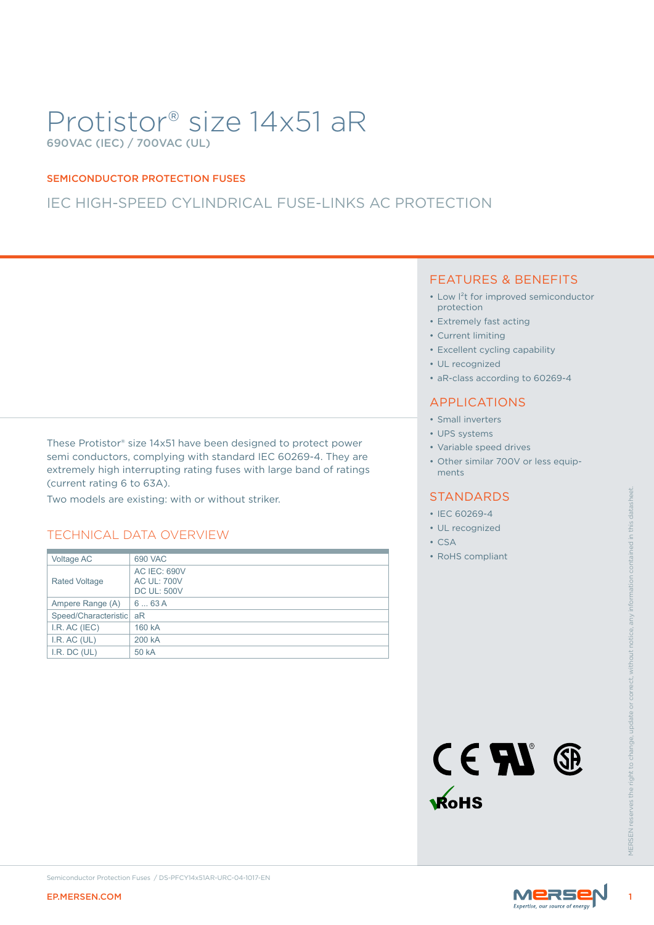# Protistor® size 14x51 aR 690VAC (IEC) / 700VAC (UL)

#### SEMICONDUCTOR PROTECTION FUSES

### IEC HIGH-SPEED CYLINDRICAL FUSE-LINKS AC PROTECTION

These Protistor® size 14x51 have been designed to protect power semi conductors, complying with standard IEC 60269-4. They are extremely high interrupting rating fuses with large band of ratings (current rating 6 to 63A).

### TECHNICAL DATA OVERVIEW

| Two models are existing: with or without striker.<br><b>TECHNICAL DATA OVERVIEW</b><br>Voltage AC<br>690 VAC<br><b>AC IEC: 690V</b><br>Rated Voltage<br><b>AC UL: 700V</b><br><b>DC UL: 500V</b><br>663A<br>Ampere Range (A)<br>Speed/Characteristic aR<br>I.R. AC (IEC)<br>160 kA<br>I.R. AC (UL)<br>200 kA |                                                                | <b>STANDARDS</b><br>• IEC 60269-4                                                |
|--------------------------------------------------------------------------------------------------------------------------------------------------------------------------------------------------------------------------------------------------------------------------------------------------------------|----------------------------------------------------------------|----------------------------------------------------------------------------------|
|                                                                                                                                                                                                                                                                                                              |                                                                | · UL recognized<br>$\cdot$ CSA                                                   |
| I.R. DC (UL)                                                                                                                                                                                                                                                                                                 | 50 kA                                                          | • RoHS compliant<br>without notice<br>CENT ®<br><b>KoHS</b><br><b>MFRSEN res</b> |
| <b>EP.MERSEN.COM</b>                                                                                                                                                                                                                                                                                         | Semiconductor Protection Fuses / DS-PFCY14x51AR-URC-04-1017-EN | <b>MERSE</b>                                                                     |

### FEATURES & BENEFITS

- Low l²t for improved semiconductor protection
- Extremely fast acting
- Current limiting
- Excellent cycling capability
- UL recognized
- aR-class according to 60269-4

### APPLICATIONS

- Small inverters
- UPS systems
- Variable speed drives
- Other similar 700V or less equipments

#### STANDARDS

- IEC 60269-4
- UL recognized
- CSA
- RoHS compliant



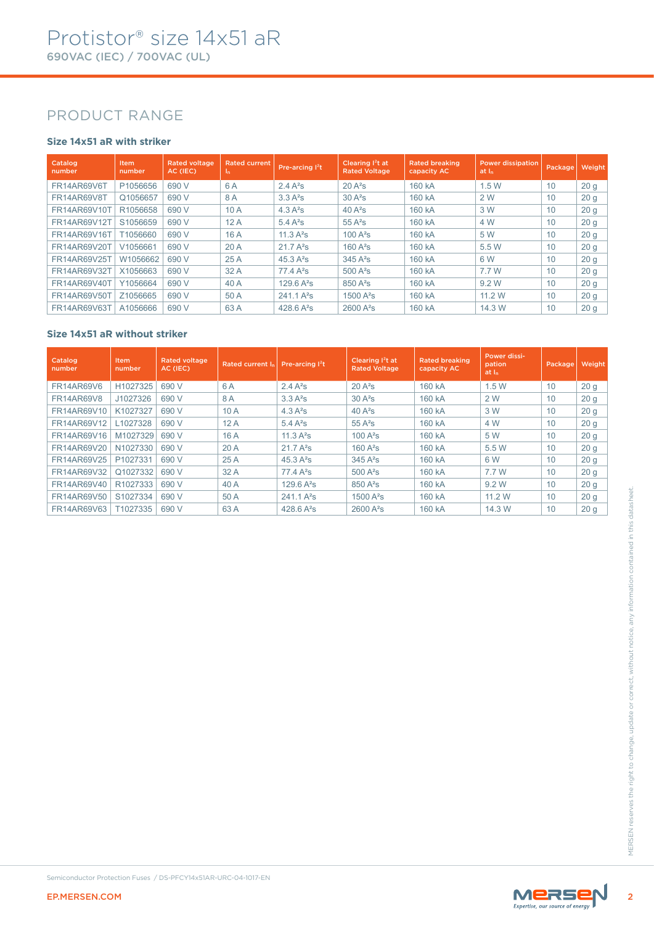### PRODUCT RANGE

### **Size 14x51 aR with striker**

| Catalog<br>number  | <b>Item</b><br>number | <b>Rated voltage</b><br>AC (IEC) | <b>Rated current</b><br>In. | Pre-arcing l <sup>2</sup> t | Clearing $12t$ at<br><b>Rated Voltage</b> | <b>Rated breaking</b><br>capacity AC | <b>Power dissipation</b><br>at In | Package, | Weight          |
|--------------------|-----------------------|----------------------------------|-----------------------------|-----------------------------|-------------------------------------------|--------------------------------------|-----------------------------------|----------|-----------------|
| <b>FR14AR69V6T</b> | P1056656              | 690 V                            | 6 A                         | $2.4 A^2s$                  | $20A^2s$                                  | 160 kA                               | 1.5W                              | 10       | 20 <sub>g</sub> |
| FR14AR69V8T        | Q1056657              | 690 V                            | 8 A                         | 3.3 A <sup>2</sup> S        | $30A^2s$                                  | 160 kA                               | 2 W                               | 10       | 20 <sub>g</sub> |
| FR14AR69V10T       | R1056658              | 690 V                            | 10A                         | 4.3 $A^2S$                  | 40 $A^2$ s                                | 160 kA                               | 3 W                               | 10       | 20 <sub>g</sub> |
| FR14AR69V12T       | S1056659              | 690 V                            | 12A                         | 5.4 $A^2S$                  | $55A^2s$                                  | 160 kA                               | 4 W                               | 10       | 20 <sub>g</sub> |
| FR14AR69V16T       | T1056660              | 690 V                            | 16 A                        | 11.3 $A^2S$                 | $100A^2s$                                 | 160 kA                               | 5 W                               | 10       | 20 <sub>g</sub> |
| FR14AR69V20T       | V1056661              | 690 V                            | 20A                         | $21.7A^{2}s$                | $160A^2s$                                 | 160 kA                               | 5.5 W                             | 10       | 20 <sub>g</sub> |
| FR14AR69V25T       | W1056662              | 690 V                            | 25A                         | 45.3 $A^2S$                 | $345A^2s$                                 | 160 kA                               | 6 W                               | 10       | 20q             |
| FR14AR69V32T       | X1056663              | 690 V                            | 32A                         | $77.4A^{2}s$                | $500A^2s$                                 | 160 kA                               | 7.7 W                             | 10       | 20 <sub>g</sub> |
| FR14AR69V40T       | Y1056664              | 690 V                            | 40 A                        | $129.6A^{2}s$               | $850A^2s$                                 | 160 kA                               | 9.2 W                             | 10       | 20 <sub>g</sub> |
| FR14AR69V50T       | Z1056665              | 690 V                            | 50 A                        | 241.1 A <sup>2</sup> S      | $1500A^2s$                                | 160 kA                               | 11.2 W                            | 10       | 20q             |
| FR14AR69V63T       | A1056666              | 690 V                            | 63A                         | 428.6 $A^2s$                | $2600 A^2s$                               | 160 kA                               | 14.3 W                            | 10       | 20 <sub>g</sub> |

#### **Size 14x51 aR without striker**

| <b>FR14AR69V6</b><br>H1027325<br>690 V<br>6A<br>$2.4A^2s$<br>$20A^2s$<br>160 kA<br>1.5W<br>10<br>20 <sub>g</sub><br>J1027326<br>690 V<br>8A<br>3.3A <sup>2</sup> S<br>$30A^2s$<br>160 kA<br>2 W<br>20 <sub>g</sub><br>FR14AR69V8<br>10<br>10 A<br>FR14AR69V10<br>K1027327<br>690 V<br>4.3 A <sup>2</sup> S<br>$40A^2s$<br>160 kA<br>3 W<br>10<br>20 <sub>g</sub><br>12A<br>20 <sub>g</sub><br>FR14AR69V12<br>L1027328<br>690 V<br>$5.4A^2s$<br>$55A^2s$<br>160 kA<br>4 W<br>10<br>M1027329<br>FR14AR69V16<br>690 V<br>16 A<br>11.3 $A^2S$<br>$100A^2s$<br>160 kA<br>5 W<br>10<br>20 <sub>g</sub><br>N1027330<br>20 A<br>FR14AR69V20<br>690 V<br>21.7A <sup>2</sup> S<br>$160A^2s$<br>160 kA<br>5.5 W<br>10<br>20 <sub>g</sub><br>FR14AR69V25<br>P1027331<br>690 V<br>25 A<br>45.3 A <sup>2</sup> s<br>$345A^2s$<br>160 kA<br>6 W<br>10<br>20 <sub>g</sub><br>Q1027332<br>32 A<br>FR14AR69V32<br>690 V<br>$77.4A^2s$<br>$500A^2s$<br>160 kA<br>7.7 W<br>10<br>20 <sub>g</sub><br>40 A<br>FR14AR69V40<br>R1027333<br>690 V<br>129.6 $A^2S$<br>850 A <sup>2</sup> s<br>160 kA<br>9.2 W<br>10<br>20 <sub>g</sub><br>FR14AR69V50<br>S1027334<br>690 V<br>50 A<br>241.1 A <sup>2</sup> s<br>1500 A <sup>2</sup> s<br>11.2 W<br>10<br>20 <sub>g</sub><br>160 kA<br>T1027335<br>63 A<br>428.6 A <sup>2</sup> s<br>10<br>FR14AR69V63<br>690 V<br>2600 A <sup>2</sup> s<br>160 kA<br>14.3 W<br>20 <sub>g</sub><br>Semiconductor Protection Fuses / DS-PFCY14x51AR-URC-04-1017-EN<br>MERSEN | Catalog<br>number | Item<br>number | <b>Rated voltage</b><br>AC (IEC) | Rated current In | Pre-arcing <sup>12</sup> t | Clearing I <sup>2</sup> t at<br><b>Rated Voltage</b> | <b>Rated breaking</b><br>capacity AC | Power dissi-<br>pation<br>at In | Package | Weight |
|----------------------------------------------------------------------------------------------------------------------------------------------------------------------------------------------------------------------------------------------------------------------------------------------------------------------------------------------------------------------------------------------------------------------------------------------------------------------------------------------------------------------------------------------------------------------------------------------------------------------------------------------------------------------------------------------------------------------------------------------------------------------------------------------------------------------------------------------------------------------------------------------------------------------------------------------------------------------------------------------------------------------------------------------------------------------------------------------------------------------------------------------------------------------------------------------------------------------------------------------------------------------------------------------------------------------------------------------------------------------------------------------------------------------------------------------------------------------------------|-------------------|----------------|----------------------------------|------------------|----------------------------|------------------------------------------------------|--------------------------------------|---------------------------------|---------|--------|
|                                                                                                                                                                                                                                                                                                                                                                                                                                                                                                                                                                                                                                                                                                                                                                                                                                                                                                                                                                                                                                                                                                                                                                                                                                                                                                                                                                                                                                                                                  |                   |                |                                  |                  |                            |                                                      |                                      |                                 |         |        |
|                                                                                                                                                                                                                                                                                                                                                                                                                                                                                                                                                                                                                                                                                                                                                                                                                                                                                                                                                                                                                                                                                                                                                                                                                                                                                                                                                                                                                                                                                  |                   |                |                                  |                  |                            |                                                      |                                      |                                 |         |        |
|                                                                                                                                                                                                                                                                                                                                                                                                                                                                                                                                                                                                                                                                                                                                                                                                                                                                                                                                                                                                                                                                                                                                                                                                                                                                                                                                                                                                                                                                                  |                   |                |                                  |                  |                            |                                                      |                                      |                                 |         |        |
|                                                                                                                                                                                                                                                                                                                                                                                                                                                                                                                                                                                                                                                                                                                                                                                                                                                                                                                                                                                                                                                                                                                                                                                                                                                                                                                                                                                                                                                                                  |                   |                |                                  |                  |                            |                                                      |                                      |                                 |         |        |
|                                                                                                                                                                                                                                                                                                                                                                                                                                                                                                                                                                                                                                                                                                                                                                                                                                                                                                                                                                                                                                                                                                                                                                                                                                                                                                                                                                                                                                                                                  |                   |                |                                  |                  |                            |                                                      |                                      |                                 |         |        |
|                                                                                                                                                                                                                                                                                                                                                                                                                                                                                                                                                                                                                                                                                                                                                                                                                                                                                                                                                                                                                                                                                                                                                                                                                                                                                                                                                                                                                                                                                  |                   |                |                                  |                  |                            |                                                      |                                      |                                 |         |        |
|                                                                                                                                                                                                                                                                                                                                                                                                                                                                                                                                                                                                                                                                                                                                                                                                                                                                                                                                                                                                                                                                                                                                                                                                                                                                                                                                                                                                                                                                                  |                   |                |                                  |                  |                            |                                                      |                                      |                                 |         |        |
|                                                                                                                                                                                                                                                                                                                                                                                                                                                                                                                                                                                                                                                                                                                                                                                                                                                                                                                                                                                                                                                                                                                                                                                                                                                                                                                                                                                                                                                                                  |                   |                |                                  |                  |                            |                                                      |                                      |                                 |         |        |
|                                                                                                                                                                                                                                                                                                                                                                                                                                                                                                                                                                                                                                                                                                                                                                                                                                                                                                                                                                                                                                                                                                                                                                                                                                                                                                                                                                                                                                                                                  |                   |                |                                  |                  |                            |                                                      |                                      |                                 |         |        |
|                                                                                                                                                                                                                                                                                                                                                                                                                                                                                                                                                                                                                                                                                                                                                                                                                                                                                                                                                                                                                                                                                                                                                                                                                                                                                                                                                                                                                                                                                  |                   |                |                                  |                  |                            |                                                      |                                      |                                 |         |        |
|                                                                                                                                                                                                                                                                                                                                                                                                                                                                                                                                                                                                                                                                                                                                                                                                                                                                                                                                                                                                                                                                                                                                                                                                                                                                                                                                                                                                                                                                                  |                   |                |                                  |                  |                            |                                                      |                                      |                                 |         |        |
|                                                                                                                                                                                                                                                                                                                                                                                                                                                                                                                                                                                                                                                                                                                                                                                                                                                                                                                                                                                                                                                                                                                                                                                                                                                                                                                                                                                                                                                                                  |                   |                |                                  |                  |                            |                                                      |                                      |                                 |         |        |
| <b>EP.MERSEN.COM</b>                                                                                                                                                                                                                                                                                                                                                                                                                                                                                                                                                                                                                                                                                                                                                                                                                                                                                                                                                                                                                                                                                                                                                                                                                                                                                                                                                                                                                                                             |                   |                |                                  |                  |                            |                                                      |                                      |                                 |         |        |

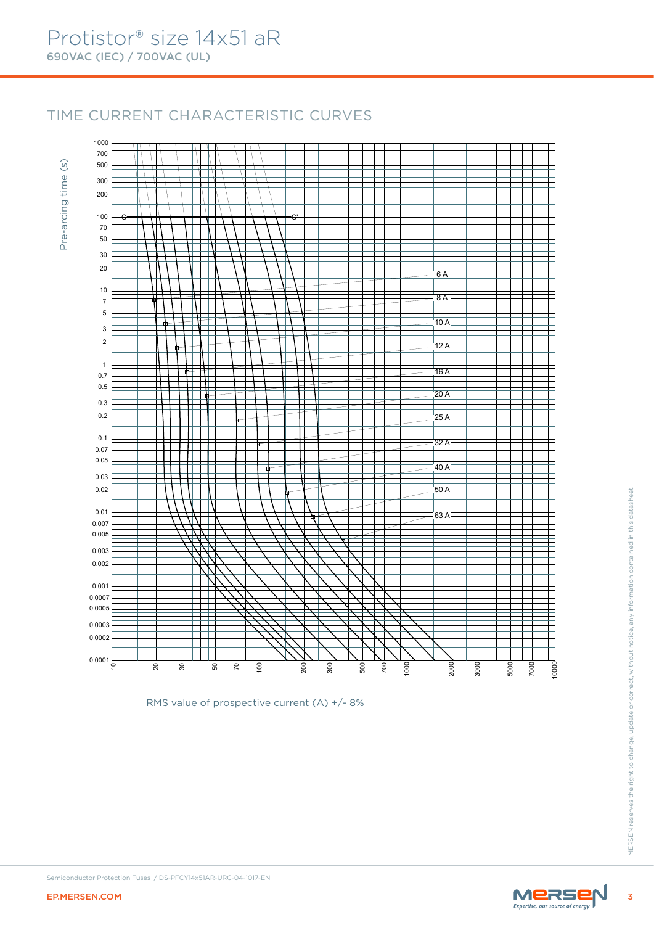## TIME CURRENT CHARACTERISTIC CURVES

Pre-arcing time (s) Pre-arcing time (s)



RMS value of prospective current (A) +/- 8%

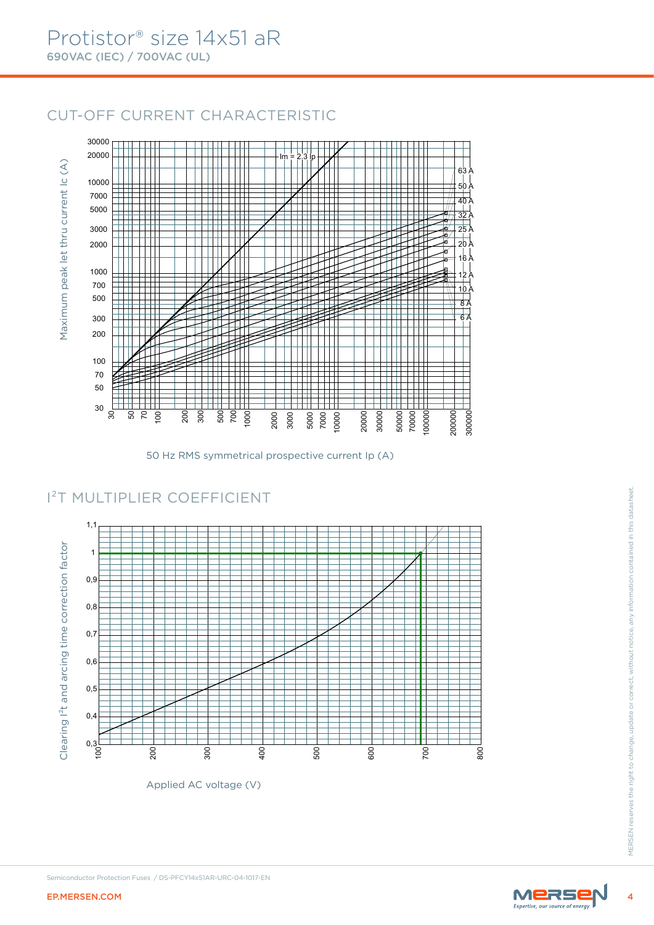### CUT-OFF CURRENT CHARACTERISTIC



50 Hz RMS symmetrical prospective current Ip (A)

### I²T MULTIPLIER COEFFICIENT



Applied AC voltage (V)

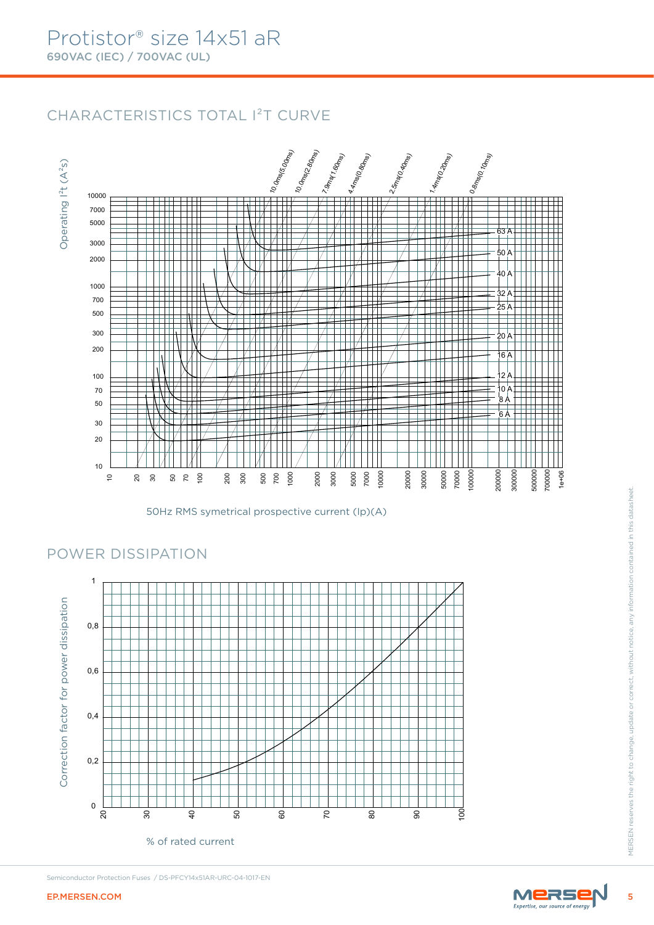Operating I²t (A²s)

Operating  $I^2t(A^2s)$ 

# CHARACTERISTICS TOTAL I²T CURVE



50Hz RMS symetrical prospective current (Ip)(A)

### POWER DISSIPATION



Semiconductor Protection Fuses / DS-PFCY14x51AR-URC-04-1017-EN